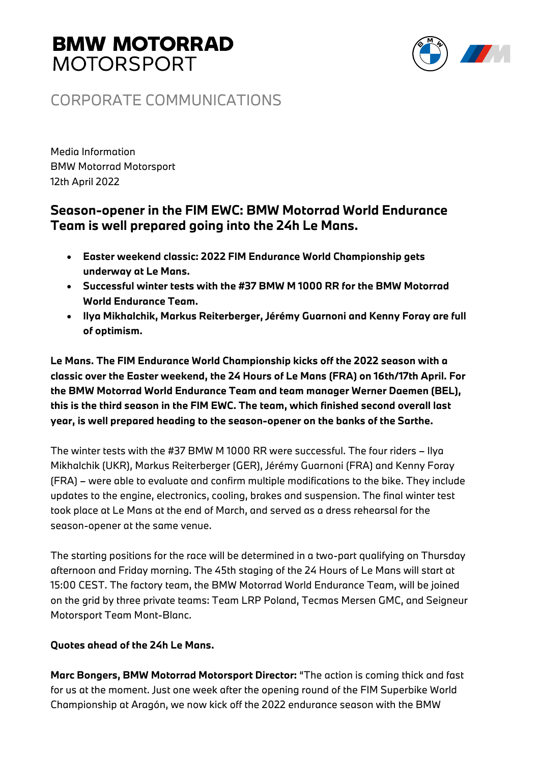# **BMW MOTORRAD MOTORSPORT**



### CORPORATE COMMUNICATIONS

Media Information BMW Motorrad Motorsport 12th April 2022

### **Season-opener in the FIM EWC: BMW Motorrad World Endurance Team is well prepared going into the 24h Le Mans.**

- **Easter weekend classic: 2022 FIM Endurance World Championship gets underway at Le Mans.**
- **Successful winter tests with the #37 BMW M 1000 RR for the BMW Motorrad World Endurance Team.**
- **Ilya Mikhalchik, Markus Reiterberger, Jérémy Guarnoni and Kenny Foray are full of optimism.**

**Le Mans. The FIM Endurance World Championship kicks off the 2022 season with a classic over the Easter weekend, the 24 Hours of Le Mans (FRA) on 16th/17th April. For the BMW Motorrad World Endurance Team and team manager Werner Daemen (BEL), this is the third season in the FIM EWC. The team, which finished second overall last year, is well prepared heading to the season-opener on the banks of the Sarthe.** 

The winter tests with the #37 BMW M 1000 RR were successful. The four riders – Ilya Mikhalchik (UKR), Markus Reiterberger (GER), Jérémy Guarnoni (FRA) and Kenny Foray (FRA) – were able to evaluate and confirm multiple modifications to the bike. They include updates to the engine, electronics, cooling, brakes and suspension. The final winter test took place at Le Mans at the end of March, and served as a dress rehearsal for the season-opener at the same venue.

The starting positions for the race will be determined in a two-part qualifying on Thursday afternoon and Friday morning. The 45th staging of the 24 Hours of Le Mans will start at 15:00 CEST. The factory team, the BMW Motorrad World Endurance Team, will be joined on the grid by three private teams: Team LRP Poland, Tecmas Mersen GMC, and Seigneur Motorsport Team Mont-Blanc.

### **Quotes ahead of the 24h Le Mans.**

**Marc Bongers, BMW Motorrad Motorsport Director:** "The action is coming thick and fast for us at the moment. Just one week after the opening round of the FIM Superbike World Championship at Aragón, we now kick off the 2022 endurance season with the BMW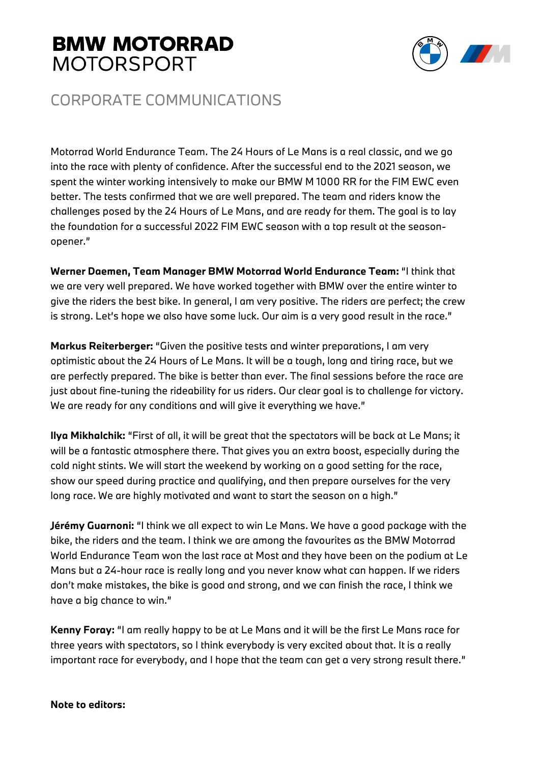## **BMW MOTORRAD MOTORSPORT**



### CORPORATE COMMUNICATIONS

Motorrad World Endurance Team. The 24 Hours of Le Mans is a real classic, and we go into the race with plenty of confidence. After the successful end to the 2021 season, we spent the winter working intensively to make our BMW M 1000 RR for the FIM EWC even better. The tests confirmed that we are well prepared. The team and riders know the challenges posed by the 24 Hours of Le Mans, and are ready for them. The goal is to lay the foundation for a successful 2022 FIM EWC season with a top result at the seasonopener."

**Werner Daemen, Team Manager BMW Motorrad World Endurance Team:** "I think that we are very well prepared. We have worked together with BMW over the entire winter to give the riders the best bike. In general, I am very positive. The riders are perfect; the crew is strong. Let's hope we also have some luck. Our aim is a very good result in the race."

**Markus Reiterberger:** "Given the positive tests and winter preparations, I am very optimistic about the 24 Hours of Le Mans. It will be a tough, long and tiring race, but we are perfectly prepared. The bike is better than ever. The final sessions before the race are just about fine-tuning the rideability for us riders. Our clear goal is to challenge for victory. We are ready for any conditions and will give it everything we have."

**Ilya Mikhalchik:** "First of all, it will be great that the spectators will be back at Le Mans; it will be a fantastic atmosphere there. That gives you an extra boost, especially during the cold night stints. We will start the weekend by working on a good setting for the race, show our speed during practice and qualifying, and then prepare ourselves for the very long race. We are highly motivated and want to start the season on a high."

**Jérémy Guarnoni:** "I think we all expect to win Le Mans. We have a good package with the bike, the riders and the team. I think we are among the favourites as the BMW Motorrad World Endurance Team won the last race at Most and they have been on the podium at Le Mans but a 24-hour race is really long and you never know what can happen. If we riders don't make mistakes, the bike is good and strong, and we can finish the race, I think we have a big chance to win."

**Kenny Foray:** "I am really happy to be at Le Mans and it will be the first Le Mans race for three years with spectators, so I think everybody is very excited about that. It is a really important race for everybody, and I hope that the team can get a very strong result there."